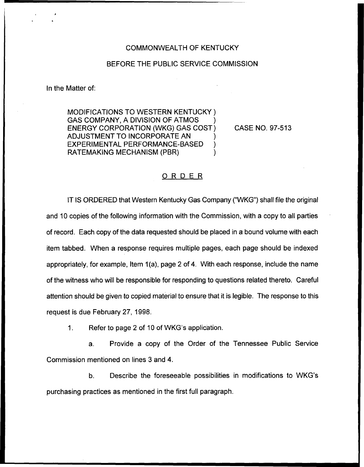## COMMONWEALTH OF KENTUCKY

## BEFORE THE PUBLIC SERVICE COMMISSION

In the Matter of:

MODIFICATIONS TO WESTERN KENTUCKY ) GAS COMPANY, A DIVISION OF ATMOS ENERGY CORPORATION (WKG) GAS COST) ADJUSTMENT TO INCORPORATE AN ) EXPERIMENTAL PERFORMANCE-BASED ) RATEMAKING MECHANISM (PBR) )

CASE NO. 97-513

## ORDER

IT IS ORDERED that Western Kentucky Gas Company ("WKG") shall file the original and 10 copies of the following information with the Commission, with a copy to all parties of record, Each copy of the data requested should be placed in a bound volume with each item tabbed. When a response requires multiple pages, each page should be indexed appropriately, for example, Item 1(a), page 2 of 4. With each response, include the name of the witness who will be responsible for responding to questions related thereto. Careful attention should be given to copied material to ensure that it is legible. The response to this request is due February 27, 1998.

 $1<sub>1</sub>$ Refer to page 2 of 10 of WKG's application.

a. Provide a copy of the Order of the Tennessee Public Service Commission mentioned on lines 3 and 4.

b. Describe the foreseeable possibilities in modifications to WKG's purchasing practices as mentioned in the first full paragraph.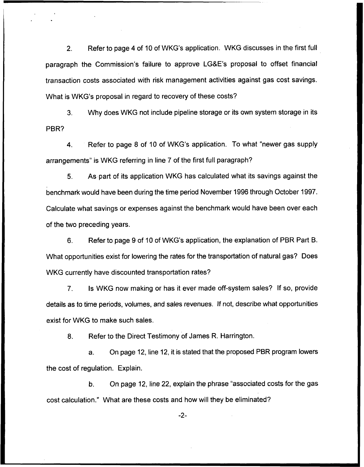2. Refer to page 4 of 10 of WKG's application. WKG discusses in the first full paragraph the Commission's failure to approve LG&E's proposal to offset financial transaction costs associated with risk management activities against gas cost savings. What is WKG's proposal in regard to recovery of these costs?

3. Why does WKG not include pipeline storage or its own system storage in its PBR?

4. Refer to page 8 of 10 of WKG's application. To what "newer gas supply arrangements" is WKG referring in line 7 of the first full paragraph?

5. As part of its application WKG has calculated what its savings against the benchmark would have been during the time period November 1996 through October 1997. Calculate what savings or expenses against the benchmark would have been over each of the two preceding years.

6. Refer to page 9 of 10 of WKG's application, the explanation of PBR Part B. What opportunities exist for lowering the rates for the transportation of natural gas? Does WKG currently have discounted transportation rates?

7. Is WKG now making or has it ever made off-system sales? If so, provide details as to time periods, volumes, and sales revenues. If not, describe what opportunities exist for WKG to make such sales.

8. Refer to the Direct Testimony of James R. Harrington.

a. On page 12, line 12, it is stated that the proposed PBR program lowers the cost of regulation. Explain.

b. On page 12, line 22, explain the phrase "associated costs for the gas cost calculation." What are these costs and how will they be eliminated?

 $-2-$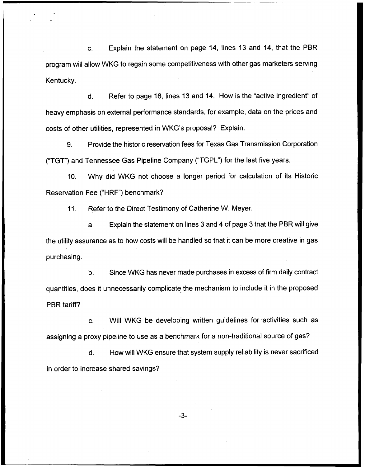c. Explain the statement on page 14, lines 13 and 14, that the PBR program will allow WKG to regain some competitiveness with other gas marketers serving Kentucky.

d. Refer to page 16, lines 13 and 14. How is the "active ingredient" of heavy emphasis on external performance standards, for example, data on the prices and costs of other utilities, represented in WKG's proposal? Explain.

9. Provide the historic reservation fees for Texas Gas Transmission Corporation ("TGT") and Tennessee Gas Pipeline Company ("TGPL") for the last five years.

10. Why did WKG not choose a longer period for calculation of its Historic Reservation Fee ("HRF") benchmark?

11. Refer to the Direct Testimony of Catherine W. Meyer.

a. Explain the statement on lines 3 and 4 of page 3 that the PBR will give the utility assurance as to how costs will be handled so that it can be more creative in gas purchasing.

b. Since WKG has never made purchases in excess of firm daily contract quantities, does it unnecessarily complicate the mechanism to include it in the proposed PBR tariff?

c. Will WKG be developing written guidelines for activities such as assigning a proxy pipeline to use as a benchmark for a non-traditional source of gas?

d. How will WKG ensure that system supply reliability is never sacrificed in order to increase shared savings?

 $-3-$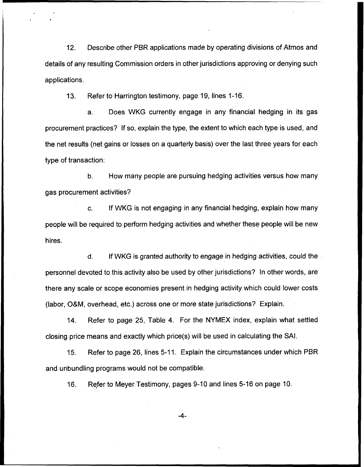12. Describe other PBR applications made by operating divisions of Atmos and details of any resulting Commission orders in other jurisdictions approving or denying such applications.

13. Refer to Harrington testimony, page 19, lines 1-16.

a. Does WKG currently engage in any financial hedging in its gas procurement practices? If so, explain the type, the extent to which each type is used, and the net results (net gains or losses on a quarterly basis) over the last three years for each type of transaction:

b. How many people are pursuing hedging activities versus how many gas procurement activities?

If WKG is not engaging in any financial hedging, explain how many C. people will be required to perform hedging activities and whether these people will be new hires.

d. If WKG is granted authority to engage in hedging activities, could the personnel devoted to this activity also be used by other jurisdictions? In other words, are there any scale or scope economies present in hedging activity which could lower costs (labor, O&M, overhead, etc.) across one or more state jurisdictions? Explain.

14. Refer to page 25, Table 4. For the NYMEX index, explain what settled closing price means and exactly which price(s) will be used in calculating the SAI.

15. Refer to page 26, lines 5-11. Explain the circumstances under which PBR and unbundling programs would not be compatible.

16. Refer to Meyer Testimony, pages 9-10 and lines 5-16 on page 10.

 $-4-$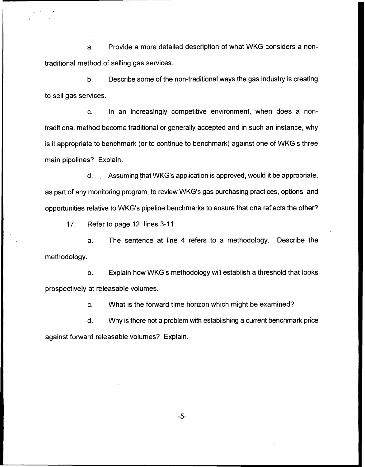a. Provide a more detailed description of what WKG considers a nontraditional method of selling gas services.

b. Describe some of the non-traditional ways the gas industry is creating to sell gas services.

c. In an increasingly competitive environment, when does a nontraditional method become traditional or generally accepted and in such an instance, why is it appropriate to benchmark (or to continue to benchmark) against one of WKG's three main pipelines? Explain.

d.. Assuming that WKG's application is approved, would it be appropriate, as part of any monitoring program, to review WKG's gas purchasing practices, options, and opportunities relative to WKG's pipeline benchmarks to ensure that one reflects the other?

17. Refer to page 12, lines 3-11

a. The sentence at line 4 refers to a methodology. Describe the methodology.

b. Explain how WKG's methodology will establish a threshold that looks prospectively at releasable volumes.

c. What is the forward time horizon which might be examined?

d. Why is there not a problem with establishing a current benchmark price against forward releasable volumes? Explain.

 $-5-$